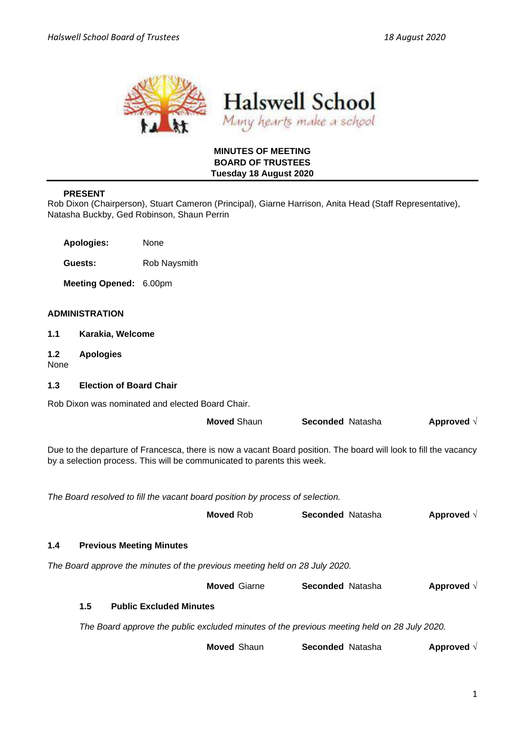



### **MINUTES OF MEETING BOARD OF TRUSTEES Tuesday 18 August 2020**

## **PRESENT**

Rob Dixon (Chairperson), Stuart Cameron (Principal), Giarne Harrison, Anita Head (Staff Representative), Natasha Buckby, Ged Robinson, Shaun Perrin

**Apologies:** None

**Guests:** Rob Naysmith

**Meeting Opened:** 6.00pm

## **ADMINISTRATION**

- **1.1 Karakia, Welcome**
- **1.2 Apologies**

None

## **1.3 Election of Board Chair**

Rob Dixon was nominated and elected Board Chair.

|                                                                                                                                                                                             |                                                                                             |                                 | <b>Moved Shaun</b>  | <b>Seconded Natasha</b> |  | Approved $\sqrt{ }$ |  |  |
|---------------------------------------------------------------------------------------------------------------------------------------------------------------------------------------------|---------------------------------------------------------------------------------------------|---------------------------------|---------------------|-------------------------|--|---------------------|--|--|
| Due to the departure of Francesca, there is now a vacant Board position. The board will look to fill the vacancy<br>by a selection process. This will be communicated to parents this week. |                                                                                             |                                 |                     |                         |  |                     |  |  |
| The Board resolved to fill the vacant board position by process of selection.                                                                                                               |                                                                                             |                                 |                     |                         |  |                     |  |  |
|                                                                                                                                                                                             |                                                                                             |                                 | <b>Moved Rob</b>    | <b>Seconded Natasha</b> |  | Approved $\sqrt{ }$ |  |  |
| 1.4                                                                                                                                                                                         |                                                                                             | <b>Previous Meeting Minutes</b> |                     |                         |  |                     |  |  |
| The Board approve the minutes of the previous meeting held on 28 July 2020.                                                                                                                 |                                                                                             |                                 |                     |                         |  |                     |  |  |
|                                                                                                                                                                                             |                                                                                             |                                 | <b>Moved Giarne</b> | <b>Seconded Natasha</b> |  | Approved $\sqrt{ }$ |  |  |
|                                                                                                                                                                                             | 1.5                                                                                         | <b>Public Excluded Minutes</b>  |                     |                         |  |                     |  |  |
|                                                                                                                                                                                             | The Board approve the public excluded minutes of the previous meeting held on 28 July 2020. |                                 |                     |                         |  |                     |  |  |
|                                                                                                                                                                                             |                                                                                             |                                 | <b>Moved Shaun</b>  | <b>Seconded Natasha</b> |  | Approved $\sqrt{ }$ |  |  |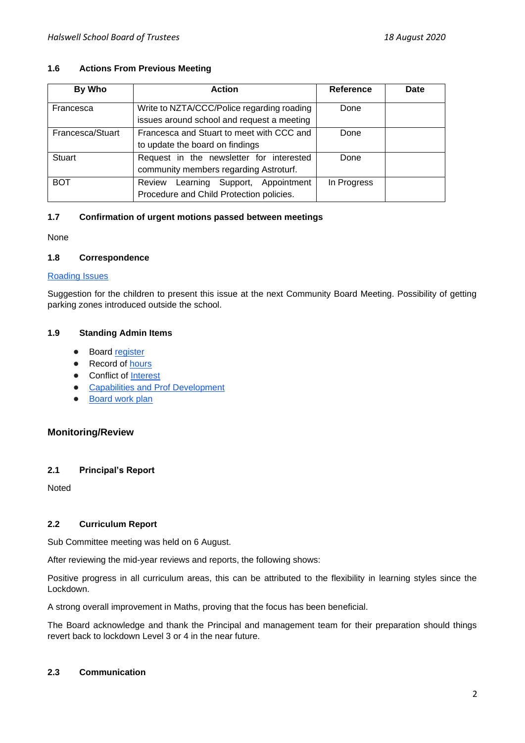## **1.6 Actions From Previous Meeting**

| By Who           | <b>Action</b>                                                                            | Reference   | Date |
|------------------|------------------------------------------------------------------------------------------|-------------|------|
| Francesca        | Write to NZTA/CCC/Police regarding roading<br>issues around school and request a meeting | Done        |      |
| Francesca/Stuart | Francesca and Stuart to meet with CCC and<br>to update the board on findings             | Done        |      |
| <b>Stuart</b>    | Request in the newsletter for interested<br>community members regarding Astroturf.       | Done        |      |
| <b>BOT</b>       | Learning Support, Appointment<br>Review<br>Procedure and Child Protection policies.      | In Progress |      |

## **1.7 Confirmation of urgent motions passed between meetings**

None

### **1.8 Correspondence**

### [Roading Issues](https://drive.google.com/drive/u/0/folders/1XKxW5b5BePvBAa2WfGwkh45jivkiPGuj)

Suggestion for the children to present this issue at the next Community Board Meeting. Possibility of getting parking zones introduced outside the school.

## **1.9 Standing Admin Items**

- Boar[d](https://drive.google.com/open?id=1LgYeP3fbHNJrrdwtKhmni7bUn5KZf6AdawXvp-8GM5I) [register](https://drive.google.com/open?id=1LgYeP3fbHNJrrdwtKhmni7bUn5KZf6AdawXvp-8GM5I)
- Record o[f](https://docs.google.com/spreadsheets/d/1ooqHmfuVcjAxJj74l2cyNrLx6E1GWjN2CMAD-VWrSTk/edit#gid=1585903216) hours
- Con[f](https://drive.google.com/open?id=1LpqgUK6iwhrXOSzvrxmLTcgpA-wsuZg7DU-aIw9nGAw)lict of [Interest](https://drive.google.com/open?id=1LpqgUK6iwhrXOSzvrxmLTcgpA-wsuZg7DU-aIw9nGAw)
- **[Capabilities and Prof Development](https://drive.google.com/open?id=1Vq0YrIsDwmndZRHvvGvFtK1YOlEWlifxCfIAxHaVDlo)**
- [Board work plan](https://docs.google.com/document/d/16WAgjXfZuFQ9Un3Lb7bJ9NQj9tU1J26Koes3jzuU9jQ/edit)

# **Monitoring/Review**

## **2.1 Principal's Report**

Noted

## **2.2 Curriculum Report**

Sub Committee meeting was held on 6 August.

After reviewing the mid-year reviews and reports, the following shows:

Positive progress in all curriculum areas, this can be attributed to the flexibility in learning styles since the Lockdown.

A strong overall improvement in Maths, proving that the focus has been beneficial.

The Board acknowledge and thank the Principal and management team for their preparation should things revert back to lockdown Level 3 or 4 in the near future.

### **2.3 Communication**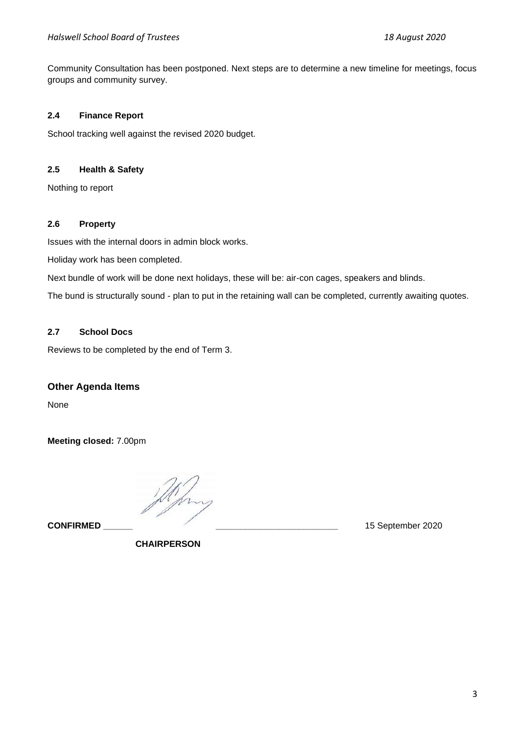Community Consultation has been postponed. Next steps are to determine a new timeline for meetings, focus groups and community survey.

## **2.4 Finance Report**

School tracking well against the revised 2020 budget.

# **2.5 Health & Safety**

Nothing to report

### **2.6 Property**

Issues with the internal doors in admin block works.

Holiday work has been completed.

Next bundle of work will be done next holidays, these will be: air-con cages, speakers and blinds.

The bund is structurally sound - plan to put in the retaining wall can be completed, currently awaiting quotes.

## **2.7 School Docs**

Reviews to be completed by the end of Term 3.

# **Other Agenda Items**

None

**Meeting closed:** 7.00pm

**CONFIRMED \_\_\_\_\_\_ \_\_\_\_\_\_\_\_\_\_\_\_\_\_\_\_\_\_\_\_\_\_\_\_\_** 15 September 2020

 **CHAIRPERSON**